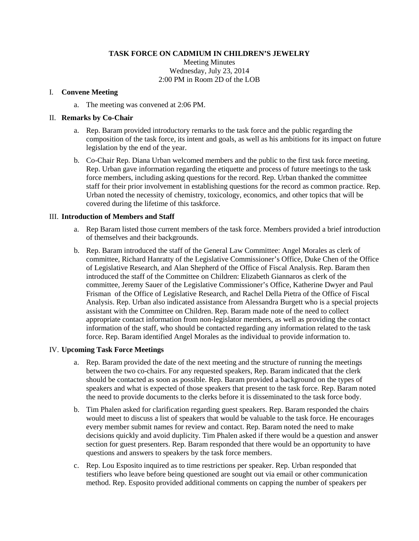#### **TASK FORCE ON CADMIUM IN CHILDREN'S JEWELRY**

Meeting Minutes Wednesday, July 23, 2014 2:00 PM in Room 2D of the LOB

## I. **Convene Meeting**

a. The meeting was convened at 2:06 PM.

## II. **Remarks by Co-Chair**

- a. Rep. Baram provided introductory remarks to the task force and the public regarding the composition of the task force, its intent and goals, as well as his ambitions for its impact on future legislation by the end of the year.
- b. Co-Chair Rep. Diana Urban welcomed members and the public to the first task force meeting. Rep. Urban gave information regarding the etiquette and process of future meetings to the task force members, including asking questions for the record. Rep. Urban thanked the committee staff for their prior involvement in establishing questions for the record as common practice. Rep. Urban noted the necessity of chemistry, toxicology, economics, and other topics that will be covered during the lifetime of this taskforce.

#### III. **Introduction of Members and Staff**

- a. Rep Baram listed those current members of the task force. Members provided a brief introduction of themselves and their backgrounds.
- b. Rep. Baram introduced the staff of the General Law Committee: Angel Morales as clerk of committee, Richard Hanratty of the Legislative Commissioner's Office, Duke Chen of the Office of Legislative Research, and Alan Shepherd of the Office of Fiscal Analysis. Rep. Baram then introduced the staff of the Committee on Children: Elizabeth Giannaros as clerk of the committee, Jeremy Sauer of the Legislative Commissioner's Office, Katherine Dwyer and Paul Frisman of the Office of Legislative Research, and Rachel Della Pietra of the Office of Fiscal Analysis. Rep. Urban also indicated assistance from Alessandra Burgett who is a special projects assistant with the Committee on Children. Rep. Baram made note of the need to collect appropriate contact information from non-legislator members, as well as providing the contact information of the staff, who should be contacted regarding any information related to the task force. Rep. Baram identified Angel Morales as the individual to provide information to.

## IV. **Upcoming Task Force Meetings**

- a. Rep. Baram provided the date of the next meeting and the structure of running the meetings between the two co-chairs. For any requested speakers, Rep. Baram indicated that the clerk should be contacted as soon as possible. Rep. Baram provided a background on the types of speakers and what is expected of those speakers that present to the task force. Rep. Baram noted the need to provide documents to the clerks before it is disseminated to the task force body.
- b. Tim Phalen asked for clarification regarding guest speakers. Rep. Baram responded the chairs would meet to discuss a list of speakers that would be valuable to the task force. He encourages every member submit names for review and contact. Rep. Baram noted the need to make decisions quickly and avoid duplicity. Tim Phalen asked if there would be a question and answer section for guest presenters. Rep. Baram responded that there would be an opportunity to have questions and answers to speakers by the task force members.
- c. Rep. Lou Esposito inquired as to time restrictions per speaker. Rep. Urban responded that testifiers who leave before being questioned are sought out via email or other communication method. Rep. Esposito provided additional comments on capping the number of speakers per